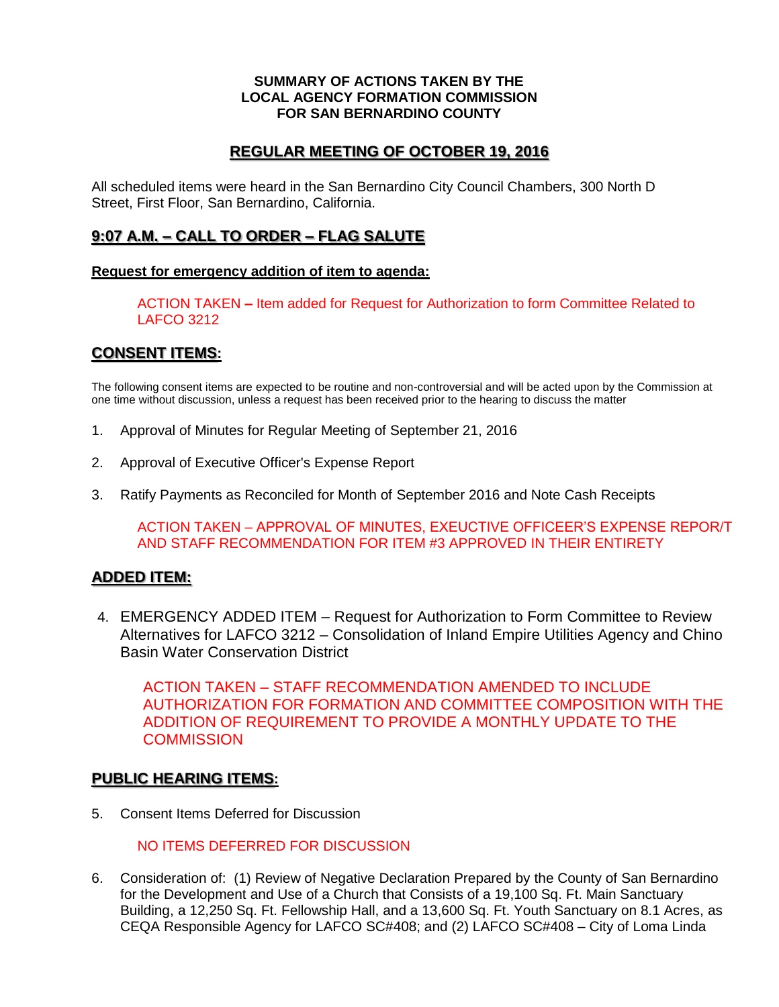#### **SUMMARY OF ACTIONS TAKEN BY THE LOCAL AGENCY FORMATION COMMISSION FOR SAN BERNARDINO COUNTY**

## **REGULAR MEETING OF OCTOBER 19, 2016**

All scheduled items were heard in the San Bernardino City Council Chambers, 300 North D Street, First Floor, San Bernardino, California.

### **9:07 A.M. – CALL TO ORDER – FLAG SALUTE**

#### **Request for emergency addition of item to agenda:**

ACTION TAKEN **–** Item added for Request for Authorization to form Committee Related to LAFCO 3212

### **CONSENT ITEMS:**

The following consent items are expected to be routine and non-controversial and will be acted upon by the Commission at one time without discussion, unless a request has been received prior to the hearing to discuss the matter

- 1. Approval of Minutes for Regular Meeting of September 21, 2016
- 2. Approval of Executive Officer's Expense Report
- 3. Ratify Payments as Reconciled for Month of September 2016 and Note Cash Receipts

ACTION TAKEN – APPROVAL OF MINUTES, EXEUCTIVE OFFICEER'S EXPENSE REPOR/T AND STAFF RECOMMENDATION FOR ITEM #3 APPROVED IN THEIR ENTIRETY

### **ADDED ITEM:**

4. EMERGENCY ADDED ITEM – Request for Authorization to Form Committee to Review Alternatives for LAFCO 3212 – Consolidation of Inland Empire Utilities Agency and Chino Basin Water Conservation District

ACTION TAKEN – STAFF RECOMMENDATION AMENDED TO INCLUDE AUTHORIZATION FOR FORMATION AND COMMITTEE COMPOSITION WITH THE ADDITION OF REQUIREMENT TO PROVIDE A MONTHLY UPDATE TO THE **COMMISSION** 

### **PUBLIC HEARING ITEMS:**

5. Consent Items Deferred for Discussion

NO ITEMS DEFERRED FOR DISCUSSION

6. Consideration of: (1) Review of Negative Declaration Prepared by the County of San Bernardino for the Development and Use of a Church that Consists of a 19,100 Sq. Ft. Main Sanctuary Building, a 12,250 Sq. Ft. Fellowship Hall, and a 13,600 Sq. Ft. Youth Sanctuary on 8.1 Acres, as CEQA Responsible Agency for LAFCO SC#408; and (2) LAFCO SC#408 – City of Loma Linda